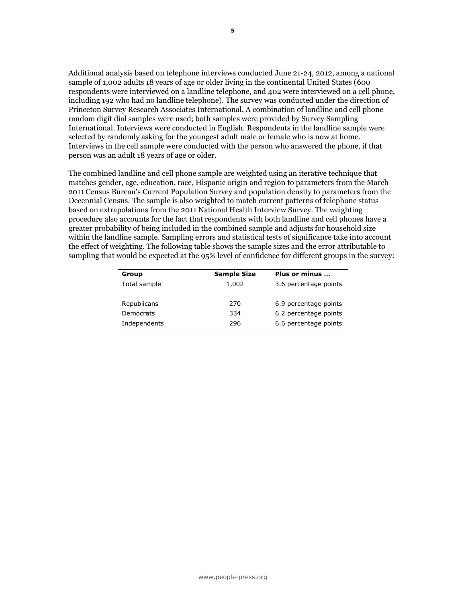

JULY 2, 2012

Top One-Word Reactions – "Disappointed," "Surprised"

# Division, Uncertainty over Court's Health Care Ruling

#### **FOR FURTHER INFORMATION CONTACT:**

**Andrew Kohut** President, Pew Research Center

**Carroll Doherty and Michael Dimock**

Associate Directors

**Scott Keeter**

Director of Survey Research

1615 L St, N.W., Suite 700 Washington, D.C. 20036 Tel (202) 419-4350 Fax (202) 419-4399 www.peoplepress.org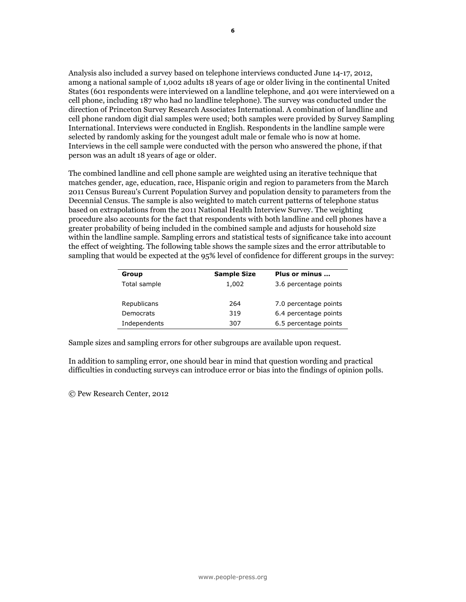## Top One-Word Reactions – "Disappointed," "Surprised" Division, Uncertainty over Court's Health Care Ruling

The public has long been divided in its opinions about the 2010 health care law. There is now a similar division of opinion over last week's Supreme Court decision to uphold the law – 40% say they disapprove of the decision, while 36% approve and nearly a quarter (24%) offer no opinion.

Despite extensive public interest in the court's ruling, just 55% of the public knows that the Supreme Court upheld most of the health care law's provisions; 45% say either that the court rejected most provisions (15%) or do not know what the court did (30%). Among those aware that the court upheld most of the law, 50% approve of the decision while 42% disapprove.

#### **Public Split over Court Decision, Many Unsure How it Ruled**

|                                                            | Total         | Rep           | Dem           | Ind           |
|------------------------------------------------------------|---------------|---------------|---------------|---------------|
| Supreme Court's<br>decision on 2010                        |               |               |               |               |
| health care law                                            | $\frac{0}{0}$ | $\frac{0}{0}$ | $\frac{0}{0}$ | $\frac{0}{0}$ |
| Approve                                                    | 36            | 13            | 66            | 32            |
| Disapprove                                                 | 40            | 70            | 15            | 42            |
| Don't know                                                 | 24            | 17            | 19            | 26            |
|                                                            | 100           | 100           | 100           | 100           |
| Did court<br>most<br>provisions in the health<br>care law? |               |               |               |               |
| Uphold                                                     | 55            | 56            | 64            | 56            |
| Reject                                                     | 15            | 19            | 11            | 13            |
| Don't know                                                 | 30            | 25            | 25            | 31            |
|                                                            | 100           | 100           | 100           | 100           |

PEW RESEARCH CENTER June 28-July 1, 2012.

The persistent partisan divisions over the law are reflected in the public's reactions to the court's June 28 decision. Seven-in-ten Republicans disapprove of the Court's decision, while 66% of Democrats approve of it. About four-in- ten (42%) independents disapprove of the ruling while 32% approve.

The latest national survey by the Pew Research Center for the People & the Press, conducted June 28 to July 1 among 1,006 adults, finds that the top single-word reactions to the court's decision are "disappointed" and "surprised." While "disappointed" is by far the top reaction among those who disapprove of the decision, "good," "surprised" and "happy" are the top words among those who approve of the ruling.

#### **One-Word Reactions to Health Care Ruling**

|                 | View of decision |                   |  |
|-----------------|------------------|-------------------|--|
| Total           | <b>Approve</b>   | <b>Disapprove</b> |  |
| 65 Disappointed | 40 Good          | 57 Disappointed   |  |
| 65 Surprised    | 31 Surprised     | 25 Surprised      |  |
| 46 Good         | 28 Happy         | 22 Disgusted      |  |
| 28 Happy        | 17 Great         | 15 Shocked        |  |
| 23 Disgusted    | 15 Satisfied     | 12 Disapprove     |  |
| 19 Shocked      | 12 Fair          | 10 Appalled       |  |
| 17 Great        | 11 Approve       | 8 Sucks           |  |

PEW RESEARCH CENTER June 28-July 1, 2012. NOTE: These are the numbers of respondents who offered each response. These are **NOT** percentages. Top responses shown; for complete list, see survey topline.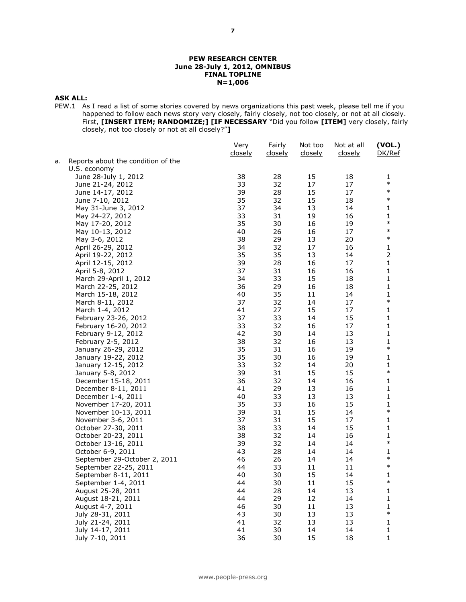The survey finds that 45% followed news about the court's decision very closely, making it the second most closely followed story of 2012 (52% tracked news about rising gas prices in March).

Among those who tracked news about the health care decision very closely, 50% approve of the decision while 45% disapprove. Among those who followed this news less closely, just 24% approve, 37% disapprove, with 39% offering no opinion.

There are substantial age differences in news interest in the decision, as well as in awareness of what the court decided. Only about quarter of those younger than 30 (24%) followed news about the court's health care decision very closely. That compares with 42% of those 30 to 49 and majorities of those 50 to 64 (56%) and 65 and older (62%).

Just 37% of those younger than 30 know that the court upheld most of the law's provisions; majorities of older age groups know that the court upheld most provisions. Majorities of those who have attended college answered this correctly, compared with 44% of those with a high school education or less. PEW RESEARCH CENTER June 28-July 1, 2012.

#### *Did court \_\_\_ most provisions in the health care law?* **Uphold Reject DK** % % % Total 55 15 30=100 18-29 37 20 43=100 30-49 54 15 31=100 50-64 67 12 22=100 65+ 62 15 23=100 College grad+ 72 8 20=100 Some college 56 14 30=100 HS or less 44 20 36=100 Republican 56 19 25=100 Democrat 64 11 25=100 Independent 56 13 31=100 *Following court decision …* Very closely **77** 13 11=100 Less closely 37 17 46=100

**Awareness of Health Care Ruling**

**2**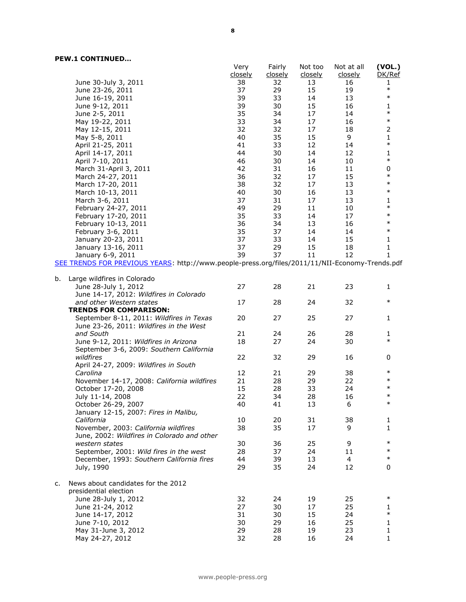### **Health Care Ruling Is June's Top Story**

The Supreme Court's health care decision is the month's most closely followed story, surpassing the economy and the presidential election. (*Public interest in stories earlier in June can be found [here](http://www.people-press.org/2012/06/12/economy-election-are-publics-top-stories/) and [here](http://www.people-press.org/2012/06/06/interest-in-foreign-news-declines/)*).

This week, there also was more interest in the court's ruling on health care than in its decision on Arizona's immigration law (29% very closely) and the House vote holding Attorney General Eric Holder in contempt for not sharing documents related to a guntrafficking investigation (22% very closely).

Interest in the presidential election has remained fairly stable over the past few weeks. From June 28-July 1, 32% tracked news about the election very closely.

#### **Interest in Health Care Ruling Surpasses Other Recent News**

*% following each story very closely* **June 28-July 1**



PEW RESEARCH CENTER June 14-17, 2012; June 21-24, 2012; June 28-July 1, 2012.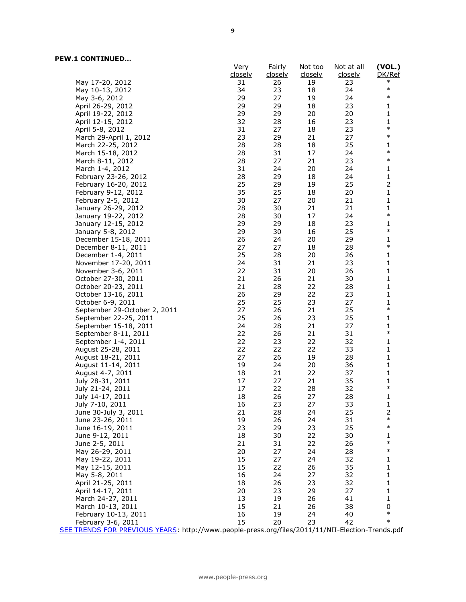### **About the News Interest Index**

The *News Interest Index* is a weekly survey conducted by the Pew Research Center for the People & the Press aimed at gauging the public's interest in and reaction to major news events. The News Interest Index survey collects data from Thursday through Sunday to gauge public interest in the most covered stories of the week.

Most of the analysis in this report is based on telephone interviews conducted June 28-July 1, 2012, among a national sample of 1,006 adults 18 years of age or older living in the continental United States (627 respondents were interviewed on a landline telephone, and 379 were interviewed on a cell phone, including 185 who had no landline telephone). The survey was conducted under the direction of Princeton Survey Research Associates International. A combination of landline and cell phone random digit dial samples were used; both samples were provided by Survey Sampling International. Interviews were conducted in English. Respondents in the landline sample were selected by randomly asking for the youngest adult male or female who is now at home. Interviews in the cell sample were conducted with the person who answered the phone, if that person was an adult 18 years of age or older.

The combined landline and cell phone sample are weighted using an iterative technique that matches gender, age, education, race, Hispanic origin and region to parameters from the March 2011 Census Bureau's Current Population Survey and population density to parameters from the Decennial Census. The sample is also weighted to match current patterns of telephone status based on extrapolations from the 2011 National Health Interview Survey. The weighting procedure also accounts for the fact that respondents with both landline and cell phones have a greater probability of being included in the combined sample and adjusts for household size within the landline sample. Sampling errors and statistical tests of significance take into account the effect of weighting. The following table shows the sample sizes and the error attributable to sampling that would be expected at the 95% level of confidence for different groups in the survey:

| Group        | <b>Sample Size</b> | Plus or minus         |
|--------------|--------------------|-----------------------|
| Total sample | 1,006              | 3.6 percentage points |
|              |                    |                       |
| Republicans  | 297                | 6.6 percentage points |
| Democrats    | 286                | 6.8 percentage points |
| Independents | 322                | 6.4 percentage points |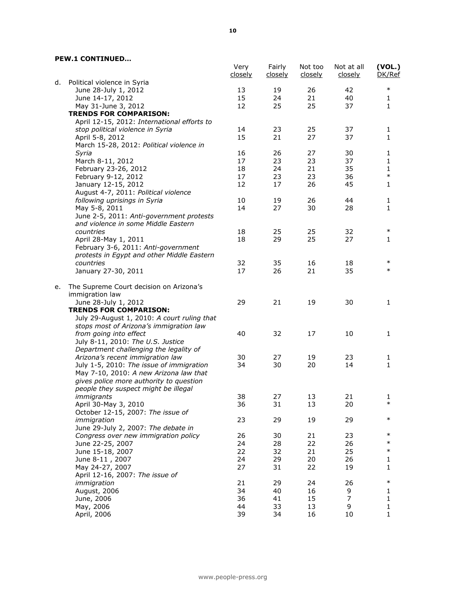Additional analysis based on telephone interviews conducted June 21-24, 2012, among a national sample of 1,002 adults 18 years of age or older living in the continental United States (600 respondents were interviewed on a landline telephone, and 402 were interviewed on a cell phone, including 192 who had no landline telephone). The survey was conducted under the direction of Princeton Survey Research Associates International. A combination of landline and cell phone random digit dial samples were used; both samples were provided by Survey Sampling International. Interviews were conducted in English. Respondents in the landline sample were selected by randomly asking for the youngest adult male or female who is now at home. Interviews in the cell sample were conducted with the person who answered the phone, if that person was an adult 18 years of age or older.

The combined landline and cell phone sample are weighted using an iterative technique that matches gender, age, education, race, Hispanic origin and region to parameters from the March 2011 Census Bureau's Current Population Survey and population density to parameters from the Decennial Census. The sample is also weighted to match current patterns of telephone status based on extrapolations from the 2011 National Health Interview Survey. The weighting procedure also accounts for the fact that respondents with both landline and cell phones have a greater probability of being included in the combined sample and adjusts for household size within the landline sample. Sampling errors and statistical tests of significance take into account the effect of weighting. The following table shows the sample sizes and the error attributable to sampling that would be expected at the 95% level of confidence for different groups in the survey:

| Group        | <b>Sample Size</b> | Plus or minus         |
|--------------|--------------------|-----------------------|
| Total sample | 1,002              | 3.6 percentage points |
|              |                    |                       |
| Republicans  | 270                | 6.9 percentage points |
| Democrats    | 334                | 6.2 percentage points |
| Independents | 296                | 6.6 percentage points |